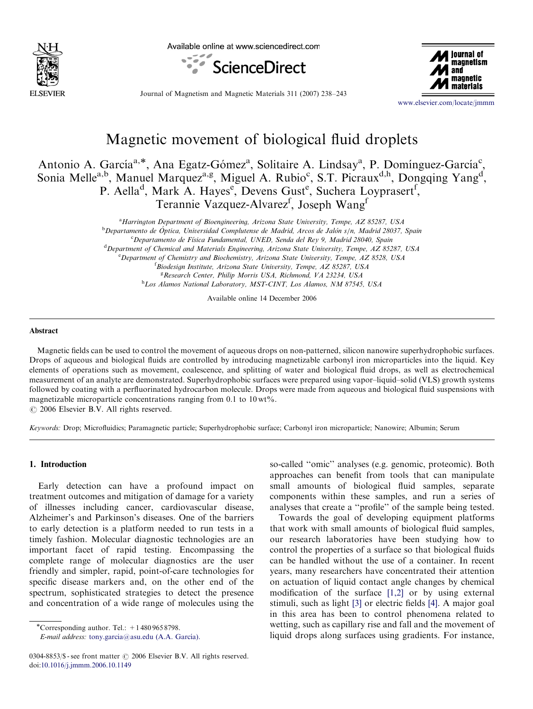

Available online at www.sciencedirect.com





Journal of Magnetism and Magnetic Materials 311 (2007) 238–243

<www.elsevier.com/locate/jmmm>

# Magnetic movement of biological fluid droplets

Antonio A. García<sup>a,\*</sup>, Ana Egatz-Gómez<sup>a</sup>, Solitaire A. Lindsay<sup>a</sup>, P. Domínguez-García<sup>c</sup>, Sonia Melle<sup>a,b</sup>, Manuel Marquez<sup>a,g</sup>, Miguel A. Rubio<sup>c</sup>, S.T. Picraux<sup>d,h</sup>, Dongqing Yang<sup>d</sup>, P. Aella<sup>d</sup>, Mark A. Hayes<sup>e</sup>, Devens Gust<sup>e</sup>, Suchera Loyprasert<sup>f</sup>, Terannie Vazquez-Alvarez<sup>f</sup>, Joseph Wang<sup>f</sup>

> <sup>a</sup> Harrington Department of Bioengineering, Arizona State University, Tempe, AZ 85287, USA <sup>b</sup>Departamento de Óptica, Universidad Complutense de Madrid, Arcos de Jalón s/n, Madrid 28037, Spain <sup>c</sup>Departamento de Física Fundamental, UNED, Senda del Rey 9, Madrid 28040, Spain <sup>d</sup> Department of Chemical and Materials Engineering, Arizona State University, Tempe, AZ 85287, USA <sup>e</sup> Department of Chemistry and Biochemistry, Arizona State University, Tempe, AZ 8528, USA <sup>f</sup> Biodesign Institute, Arizona State University, Tempe, AZ 85287, USA <sup>g</sup> Research Center, Philip Morris USA, Richmond, VA 23234, USA h Los Alamos National Laboratory, MST-CINT, Los Alamos, NM 87545, USA

> > Available online 14 December 2006

#### Abstract

Magnetic fields can be used to control the movement of aqueous drops on non-patterned, silicon nanowire superhydrophobic surfaces. Drops of aqueous and biological fluids are controlled by introducing magnetizable carbonyl iron microparticles into the liquid. Key elements of operations such as movement, coalescence, and splitting of water and biological fluid drops, as well as electrochemical measurement of an analyte are demonstrated. Superhydrophobic surfaces were prepared using vapor–liquid–solid (VLS) growth systems followed by coating with a perfluorinated hydrocarbon molecule. Drops were made from aqueous and biological fluid suspensions with magnetizable microparticle concentrations ranging from  $0.1$  to  $10 \,\text{wt}\%$ .  $\odot$  2006 Elsevier B.V. All rights reserved.

Keywords: Drop; Microfluidics; Paramagnetic particle; Superhydrophobic surface; Carbonyl iron microparticle; Nanowire; Albumin; Serum

## 1. Introduction

Early detection can have a profound impact on treatment outcomes and mitigation of damage for a variety of illnesses including cancer, cardiovascular disease, Alzheimer's and Parkinson's diseases. One of the barriers to early detection is a platform needed to run tests in a timely fashion. Molecular diagnostic technologies are an important facet of rapid testing. Encompassing the complete range of molecular diagnostics are the user friendly and simpler, rapid, point-of-care technologies for specific disease markers and, on the other end of the spectrum, sophisticated strategies to detect the presence and concentration of a wide range of molecules using the

E-mail address: tony.garcia@asu.edu (A.A. García).

so-called ''omic'' analyses (e.g. genomic, proteomic). Both approaches can benefit from tools that can manipulate small amounts of biological fluid samples, separate components within these samples, and run a series of analyses that create a ''profile'' of the sample being tested.

Towards the goal of developing equipment platforms that work with small amounts of biological fluid samples, our research laboratories have been studying how to control the properties of a surface so that biological fluids can be handled without the use of a container. In recent years, many researchers have concentrated their attention on actuation of liquid contact angle changes by chemical modification of the surface [\[1,2\]](#page-5-0) or by using external stimuli, such as light [\[3\]](#page-5-0) or electric fields [\[4\]](#page-5-0). A major goal in this area has been to control phenomena related to wetting, such as capillary rise and fall and the movement of liquid drops along surfaces using gradients. For instance,

 $\overline{\text{``Corresponding author. Tel.:}}$  + 1 480 965 8798.

 $0304-8853/\$  - see front matter  $\odot$  2006 Elsevier B.V. All rights reserved. doi:[10.1016/j.jmmm.2006.10.1149](dx.doi.org/10.1016/j.jmmm.2006.10.1149)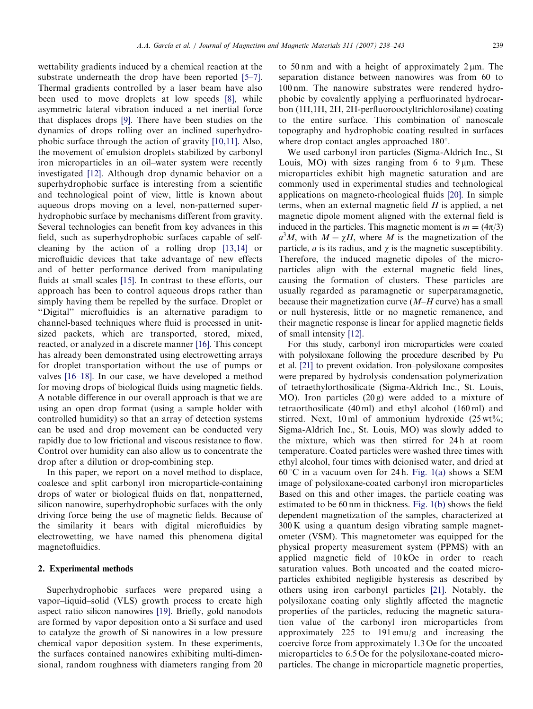wettability gradients induced by a chemical reaction at the substrate underneath the drop have been reported [\[5–7\].](#page-5-0) Thermal gradients controlled by a laser beam have also been used to move droplets at low speeds [\[8\],](#page-5-0) while asymmetric lateral vibration induced a net inertial force that displaces drops [\[9\].](#page-5-0) There have been studies on the dynamics of drops rolling over an inclined superhydrophobic surface through the action of gravity [\[10,11\]](#page-5-0). Also, the movement of emulsion droplets stabilized by carbonyl iron microparticles in an oil–water system were recently investigated [\[12\]](#page-5-0). Although drop dynamic behavior on a superhydrophobic surface is interesting from a scientific and technological point of view, little is known about aqueous drops moving on a level, non-patterned superhydrophobic surface by mechanisms different from gravity. Several technologies can benefit from key advances in this field, such as superhydrophobic surfaces capable of selfcleaning by the action of a rolling drop [\[13,14\]](#page-5-0) or microfluidic devices that take advantage of new effects and of better performance derived from manipulating fluids at small scales [\[15\]](#page-5-0). In contrast to these efforts, our approach has been to control aqueous drops rather than simply having them be repelled by the surface. Droplet or ''Digital'' microfluidics is an alternative paradigm to channel-based techniques where fluid is processed in unitsized packets, which are transported, stored, mixed, reacted, or analyzed in a discrete manner [\[16\]](#page-5-0). This concept has already been demonstrated using electrowetting arrays for droplet transportation without the use of pumps or valves [\[16–18\].](#page-5-0) In our case, we have developed a method for moving drops of biological fluids using magnetic fields. A notable difference in our overall approach is that we are using an open drop format (using a sample holder with controlled humidity) so that an array of detection systems can be used and drop movement can be conducted very rapidly due to low frictional and viscous resistance to flow. Control over humidity can also allow us to concentrate the drop after a dilution or drop-combining step.

In this paper, we report on a novel method to displace, coalesce and split carbonyl iron microparticle-containing drops of water or biological fluids on flat, nonpatterned, silicon nanowire, superhydrophobic surfaces with the only driving force being the use of magnetic fields. Because of the similarity it bears with digital microfluidics by electrowetting, we have named this phenomena digital magnetofluidics.

## 2. Experimental methods

Superhydrophobic surfaces were prepared using a vapor–liquid–solid (VLS) growth process to create high aspect ratio silicon nanowires [\[19\]](#page-5-0). Briefly, gold nanodots are formed by vapor deposition onto a Si surface and used to catalyze the growth of Si nanowires in a low pressure chemical vapor deposition system. In these experiments, the surfaces contained nanowires exhibiting multi-dimensional, random roughness with diameters ranging from 20 to 50 nm and with a height of approximately  $2 \mu m$ . The separation distance between nanowires was from 60 to 100 nm. The nanowire substrates were rendered hydrophobic by covalently applying a perfluorinated hydrocarbon (1H,1H, 2H, 2H-perfluorooctyltrichlorosilane) coating to the entire surface. This combination of nanoscale topography and hydrophobic coating resulted in surfaces where drop contact angles approached  $180^\circ$ .

We used carbonyl iron particles (Sigma-Aldrich Inc., St Louis, MO) with sizes ranging from 6 to  $9 \mu m$ . These microparticles exhibit high magnetic saturation and are commonly used in experimental studies and technological applications on magneto-rheological fluids [\[20\].](#page-5-0) In simple terms, when an external magnetic field  $H$  is applied, a net magnetic dipole moment aligned with the external field is induced in the particles. This magnetic moment is  $m = (4\pi/3)$  $a^3M$ , with  $M = \chi H$ , where M is the magnetization of the particle, *a* is its radius, and  $\gamma$  is the magnetic susceptibility. Therefore, the induced magnetic dipoles of the microparticles align with the external magnetic field lines, causing the formation of clusters. These particles are usually regarded as paramagnetic or superparamagnetic, because their magnetization curve  $(M-H)$  curve) has a small or null hysteresis, little or no magnetic remanence, and their magnetic response is linear for applied magnetic fields of small intensity [\[12\]](#page-5-0).

For this study, carbonyl iron microparticles were coated with polysiloxane following the procedure described by Pu et al. [\[21\]](#page-5-0) to prevent oxidation. Iron–polysiloxane composites were prepared by hydrolysis–condensation polymerization of tetraethylorthosilicate (Sigma-Aldrich Inc., St. Louis, MO). Iron particles (20 g) were added to a mixture of tetraorthosilicate (40 ml) and ethyl alcohol (160 ml) and stirred. Next, 10 ml of ammonium hydroxide (25 wt%; Sigma-Aldrich Inc., St. Louis, MO) was slowly added to the mixture, which was then stirred for 24 h at room temperature. Coated particles were washed three times with ethyl alcohol, four times with deionised water, and dried at 60 °C in a vacuum oven for 24 h. [Fig. 1\(a\)](#page-2-0) shows a SEM image of polysiloxane-coated carbonyl iron microparticles Based on this and other images, the particle coating was estimated to be 60 nm in thickness. [Fig. 1\(b\)](#page-2-0) shows the field dependent magnetization of the samples, characterized at 300 K using a quantum design vibrating sample magnetometer (VSM). This magnetometer was equipped for the physical property measurement system (PPMS) with an applied magnetic field of 10 kOe in order to reach saturation values. Both uncoated and the coated microparticles exhibited negligible hysteresis as described by others using iron carbonyl particles [\[21\].](#page-5-0) Notably, the polysiloxane coating only slightly affected the magnetic properties of the particles, reducing the magnetic saturation value of the carbonyl iron microparticles from approximately 225 to 191 emu/g and increasing the coercive force from approximately 1.3 Oe for the uncoated microparticles to 6.5 Oe for the polysiloxane-coated microparticles. The change in microparticle magnetic properties,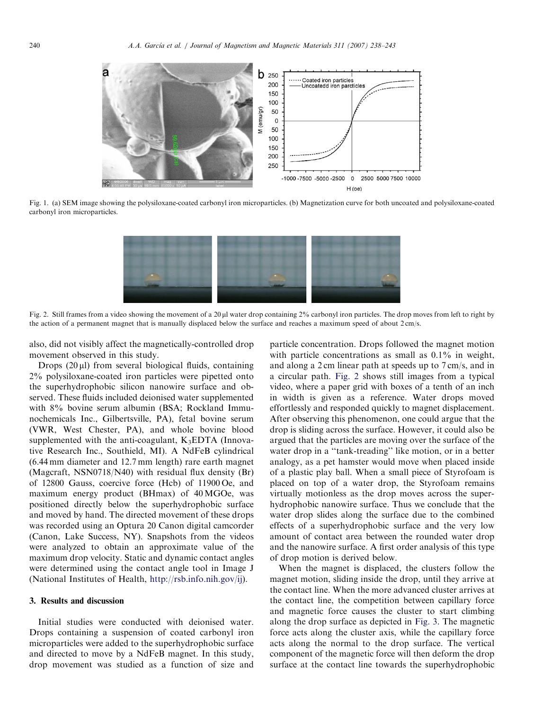<span id="page-2-0"></span>

Fig. 1. (a) SEM image showing the polysiloxane-coated carbonyl iron microparticles. (b) Magnetization curve for both uncoated and polysiloxane-coated carbonyl iron microparticles.



Fig. 2. Still frames from a video showing the movement of a 20 ul water drop containing 2% carbonyl iron particles. The drop moves from left to right by the action of a permanent magnet that is manually displaced below the surface and reaches a maximum speed of about 2 cm/s.

also, did not visibly affect the magnetically-controlled drop movement observed in this study.

Drops  $(20 \mu l)$  from several biological fluids, containing 2% polysiloxane-coated iron particles were pipetted onto the superhydrophobic silicon nanowire surface and observed. These fluids included deionised water supplemented with 8% bovine serum albumin (BSA; Rockland Immunochemicals Inc., Gilbertsville, PA), fetal bovine serum (VWR, West Chester, PA), and whole bovine blood supplemented with the anti-coagulant,  $K_3EDTA$  (Innovative Research Inc., Southield, MI). A NdFeB cylindrical (6.44 mm diameter and 12.7 mm length) rare earth magnet (Magcraft, NSN0718/N40) with residual flux density (Br) of 12800 Gauss, coercive force (Hcb) of 11900 Oe, and maximum energy product (BHmax) of 40 MGOe, was positioned directly below the superhydrophobic surface and moved by hand. The directed movement of these drops was recorded using an Optura 20 Canon digital camcorder (Canon, Lake Success, NY). Snapshots from the videos were analyzed to obtain an approximate value of the maximum drop velocity. Static and dynamic contact angles were determined using the contact angle tool in Image J (National Institutes of Health, [http://rsb.info.nih.gov/ij\)](http://rsb.info.nih.gov/ij).

## 3. Results and discussion

Initial studies were conducted with deionised water. Drops containing a suspension of coated carbonyl iron microparticles were added to the superhydrophobic surface and directed to move by a NdFeB magnet. In this study, drop movement was studied as a function of size and particle concentration. Drops followed the magnet motion with particle concentrations as small as  $0.1\%$  in weight, and along a 2 cm linear path at speeds up to 7 cm/s, and in a circular path. Fig. 2 shows still images from a typical video, where a paper grid with boxes of a tenth of an inch in width is given as a reference. Water drops moved effortlessly and responded quickly to magnet displacement. After observing this phenomenon, one could argue that the drop is sliding across the surface. However, it could also be argued that the particles are moving over the surface of the water drop in a "tank-treading" like motion, or in a better analogy, as a pet hamster would move when placed inside of a plastic play ball. When a small piece of Styrofoam is placed on top of a water drop, the Styrofoam remains virtually motionless as the drop moves across the superhydrophobic nanowire surface. Thus we conclude that the water drop slides along the surface due to the combined effects of a superhydrophobic surface and the very low amount of contact area between the rounded water drop and the nanowire surface. A first order analysis of this type of drop motion is derived below.

When the magnet is displaced, the clusters follow the magnet motion, sliding inside the drop, until they arrive at the contact line. When the more advanced cluster arrives at the contact line, the competition between capillary force and magnetic force causes the cluster to start climbing along the drop surface as depicted in [Fig. 3.](#page-3-0) The magnetic force acts along the cluster axis, while the capillary force acts along the normal to the drop surface. The vertical component of the magnetic force will then deform the drop surface at the contact line towards the superhydrophobic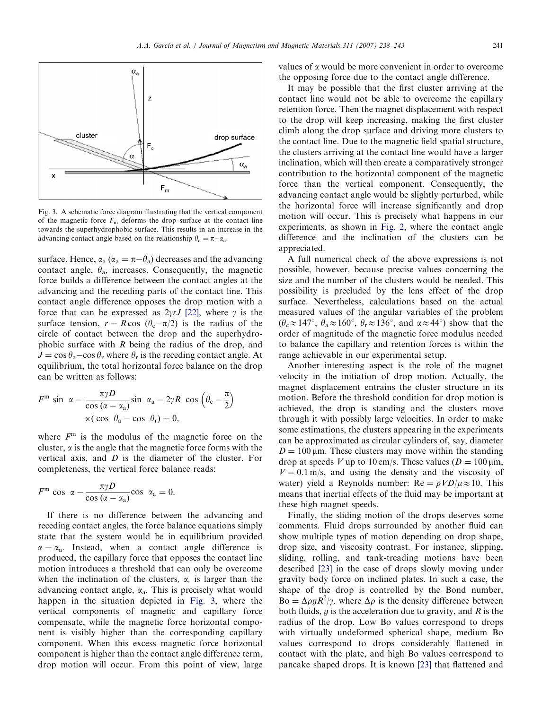<span id="page-3-0"></span>

Fig. 3. A schematic force diagram illustrating that the vertical component of the magnetic force  $F<sub>m</sub>$  deforms the drop surface at the contact line towards the superhydrophobic surface. This results in an increase in the advancing contact angle based on the relationship  $\theta_a = \pi - \alpha_a$ .

surface. Hence,  $\alpha_a (\alpha_a = \pi - \theta_a)$  decreases and the advancing contact angle,  $\theta_a$ , increases. Consequently, the magnetic force builds a difference between the contact angles at the advancing and the receding parts of the contact line. This contact angle difference opposes the drop motion with a force that can be expressed as  $2\gamma rJ$  [\[22\]](#page-5-0), where  $\gamma$  is the surface tension,  $r = R \cos (\theta_c - \pi/2)$  is the radius of the circle of contact between the drop and the superhydrophobic surface with  $R$  being the radius of the drop, and  $J = \cos \theta_a - \cos \theta_r$  where  $\theta_r$  is the receding contact angle. At equilibrium, the total horizontal force balance on the drop can be written as follows:

$$
Fm sin \alpha - \frac{\pi \gamma D}{\cos (\alpha - \alpha_a)} sin \alpha_a - 2\gamma R cos (\theta_c - \frac{\pi}{2})
$$
  
×( cos θ<sub>a</sub> - cos θ<sub>r</sub>) = 0,

where  $F<sup>m</sup>$  is the modulus of the magnetic force on the cluster,  $\alpha$  is the angle that the magnetic force forms with the vertical axis, and D is the diameter of the cluster. For completeness, the vertical force balance reads:

$$
F^{\mathfrak{m}} \cos \alpha - \frac{\pi \gamma D}{\cos (\alpha - \alpha_{\mathfrak{a}})} \cos \alpha_{\mathfrak{a}} = 0.
$$

If there is no difference between the advancing and receding contact angles, the force balance equations simply state that the system would be in equilibrium provided  $\alpha = \alpha_a$ . Instead, when a contact angle difference is produced, the capillary force that opposes the contact line motion introduces a threshold that can only be overcome when the inclination of the clusters,  $\alpha$ , is larger than the advancing contact angle,  $\alpha_a$ . This is precisely what would happen in the situation depicted in Fig. 3, where the vertical components of magnetic and capillary force compensate, while the magnetic force horizontal component is visibly higher than the corresponding capillary component. When this excess magnetic force horizontal component is higher than the contact angle difference term, drop motion will occur. From this point of view, large values of  $\alpha$  would be more convenient in order to overcome the opposing force due to the contact angle difference.

It may be possible that the first cluster arriving at the contact line would not be able to overcome the capillary retention force. Then the magnet displacement with respect to the drop will keep increasing, making the first cluster climb along the drop surface and driving more clusters to the contact line. Due to the magnetic field spatial structure, the clusters arriving at the contact line would have a larger inclination, which will then create a comparatively stronger contribution to the horizontal component of the magnetic force than the vertical component. Consequently, the advancing contact angle would be slightly perturbed, while the horizontal force will increase significantly and drop motion will occur. This is precisely what happens in our experiments, as shown in [Fig. 2,](#page-2-0) where the contact angle difference and the inclination of the clusters can be appreciated.

A full numerical check of the above expressions is not possible, however, because precise values concerning the size and the number of the clusters would be needed. This possibility is precluded by the lens effect of the drop surface. Nevertheless, calculations based on the actual measured values of the angular variables of the problem  $(\theta_c \approx 147^\circ, \ \theta_a \approx 160^\circ, \ \theta_r \approx 136^\circ, \text{ and } \alpha \approx 44^\circ) \text{ show that the}$ order of magnitude of the magnetic force modulus needed to balance the capillary and retention forces is within the range achievable in our experimental setup.

Another interesting aspect is the role of the magnet velocity in the initiation of drop motion. Actually, the magnet displacement entrains the cluster structure in its motion. Before the threshold condition for drop motion is achieved, the drop is standing and the clusters move through it with possibly large velocities. In order to make some estimations, the clusters appearing in the experiments can be approximated as circular cylinders of, say, diameter  $D = 100 \,\text{\ensuremath{\mu}m}$ . These clusters may move within the standing drop at speeds V up to 10 cm/s. These values ( $D = 100 \,\mu$ m,  $V = 0.1$  m/s, and using the density and the viscosity of water) yield a Reynolds number:  $Re = \rho V D / \mu \approx 10$ . This means that inertial effects of the fluid may be important at these high magnet speeds.

Finally, the sliding motion of the drops deserves some comments. Fluid drops surrounded by another fluid can show multiple types of motion depending on drop shape, drop size, and viscosity contrast. For instance, slipping, sliding, rolling, and tank-treading motions have been described [\[23\]](#page-5-0) in the case of drops slowly moving under gravity body force on inclined plates. In such a case, the shape of the drop is controlled by the Bond number, Bo =  $\Delta \rho g R^2/\gamma$ , where  $\Delta \rho$  is the density difference between both fluids,  $q$  is the acceleration due to gravity, and  $R$  is the radius of the drop. Low Bo values correspond to drops with virtually undeformed spherical shape, medium Bo values correspond to drops considerably flattened in contact with the plate, and high Bo values correspond to pancake shaped drops. It is known [\[23\]](#page-5-0) that flattened and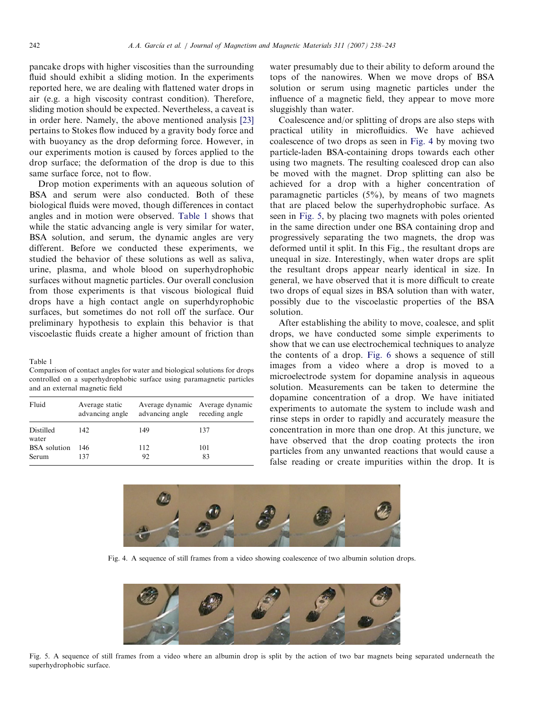pancake drops with higher viscosities than the surrounding fluid should exhibit a sliding motion. In the experiments reported here, we are dealing with flattened water drops in air (e.g. a high viscosity contrast condition). Therefore, sliding motion should be expected. Nevertheless, a caveat is in order here. Namely, the above mentioned analysis [\[23\]](#page-5-0) pertains to Stokes flow induced by a gravity body force and with buoyancy as the drop deforming force. However, in our experiments motion is caused by forces applied to the drop surface; the deformation of the drop is due to this same surface force, not to flow.

Drop motion experiments with an aqueous solution of BSA and serum were also conducted. Both of these biological fluids were moved, though differences in contact angles and in motion were observed. Table 1 shows that while the static advancing angle is very similar for water, BSA solution, and serum, the dynamic angles are very different. Before we conducted these experiments, we studied the behavior of these solutions as well as saliva, urine, plasma, and whole blood on superhydrophobic surfaces without magnetic particles. Our overall conclusion from those experiments is that viscous biological fluid drops have a high contact angle on superhdyrophobic surfaces, but sometimes do not roll off the surface. Our preliminary hypothesis to explain this behavior is that viscoelastic fluids create a higher amount of friction than

Table 1

Comparison of contact angles for water and biological solutions for drops controlled on a superhydrophobic surface using paramagnetic particles and an external magnetic field

| Fluid               | Average static<br>advancing angle | advancing angle receding angle | Average dynamic Average dynamic |
|---------------------|-----------------------------------|--------------------------------|---------------------------------|
| Distilled<br>water  | 142                               | 149                            | 137                             |
| <b>BSA</b> solution | 146                               | 112                            | 101                             |
| Serum               | 137                               | 92                             | 83                              |

water presumably due to their ability to deform around the tops of the nanowires. When we move drops of BSA solution or serum using magnetic particles under the influence of a magnetic field, they appear to move more sluggishly than water.

Coalescence and/or splitting of drops are also steps with practical utility in microfluidics. We have achieved coalescence of two drops as seen in Fig. 4 by moving two particle-laden BSA-containing drops towards each other using two magnets. The resulting coalesced drop can also be moved with the magnet. Drop splitting can also be achieved for a drop with a higher concentration of paramagnetic particles (5%), by means of two magnets that are placed below the superhydrophobic surface. As seen in Fig. 5, by placing two magnets with poles oriented in the same direction under one BSA containing drop and progressively separating the two magnets, the drop was deformed until it split. In this Fig., the resultant drops are unequal in size. Interestingly, when water drops are split the resultant drops appear nearly identical in size. In general, we have observed that it is more difficult to create two drops of equal sizes in BSA solution than with water, possibly due to the viscoelastic properties of the BSA solution.

After establishing the ability to move, coalesce, and split drops, we have conducted some simple experiments to show that we can use electrochemical techniques to analyze the contents of a drop. [Fig. 6](#page-5-0) shows a sequence of still images from a video where a drop is moved to a microelectrode system for dopamine analysis in aqueous solution. Measurements can be taken to determine the dopamine concentration of a drop. We have initiated experiments to automate the system to include wash and rinse steps in order to rapidly and accurately measure the concentration in more than one drop. At this juncture, we have observed that the drop coating protects the iron particles from any unwanted reactions that would cause a false reading or create impurities within the drop. It is



Fig. 4. A sequence of still frames from a video showing coalescence of two albumin solution drops.



Fig. 5. A sequence of still frames from a video where an albumin drop is split by the action of two bar magnets being separated underneath the superhydrophobic surface.